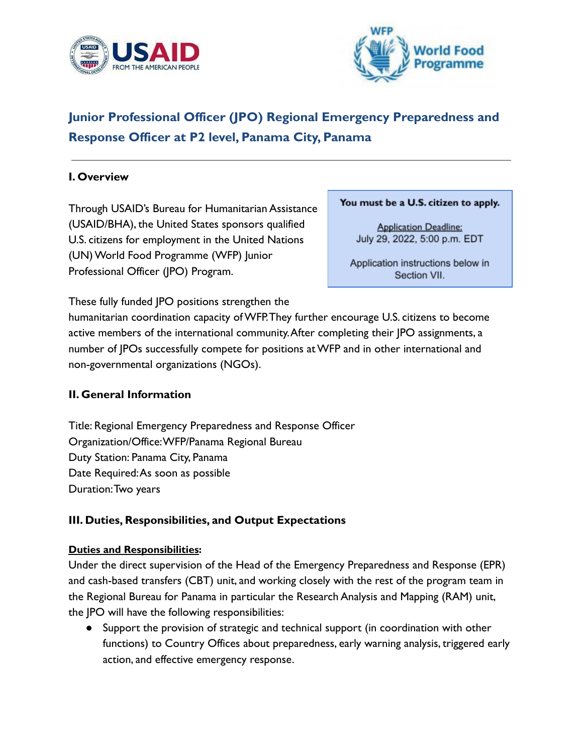



# **Junior Professional Officer (JPO) Regional Emergency Preparedness and Response Officer at P2 level, Panama City, Panama**

### **I. Overview**

Through USAID's Bureau for Humanitarian Assistance (USAID/BHA), the United States sponsors qualified U.S. citizens for employment in the United Nations (UN) World Food Programme (WFP) Junior Professional Officer (JPO) Program.

#### You must be a U.S. citizen to apply.

**Application Deadline:** July 29, 2022, 5:00 p.m. EDT

Application instructions below in Section VII.

These fully funded JPO positions strengthen the

humanitarian coordination capacity of WFP.They further encourage U.S. citizens to become active members of the international community.After completing their JPO assignments, a number of JPOs successfully compete for positions at WFP and in other international and non-governmental organizations (NGOs).

#### **II. General Information**

Title: Regional Emergency Preparedness and Response Officer Organization/Office:WFP/Panama Regional Bureau Duty Station: Panama City, Panama Date Required:As soon as possible Duration:Two years

#### **III. Duties, Responsibilities, and Output Expectations**

#### **Duties and Responsibilities:**

Under the direct supervision of the Head of the Emergency Preparedness and Response (EPR) and cash-based transfers (CBT) unit, and working closely with the rest of the program team in the Regional Bureau for Panama in particular the Research Analysis and Mapping (RAM) unit, the JPO will have the following responsibilities:

● Support the provision of strategic and technical support (in coordination with other functions) to Country Offices about preparedness, early warning analysis, triggered early action, and effective emergency response.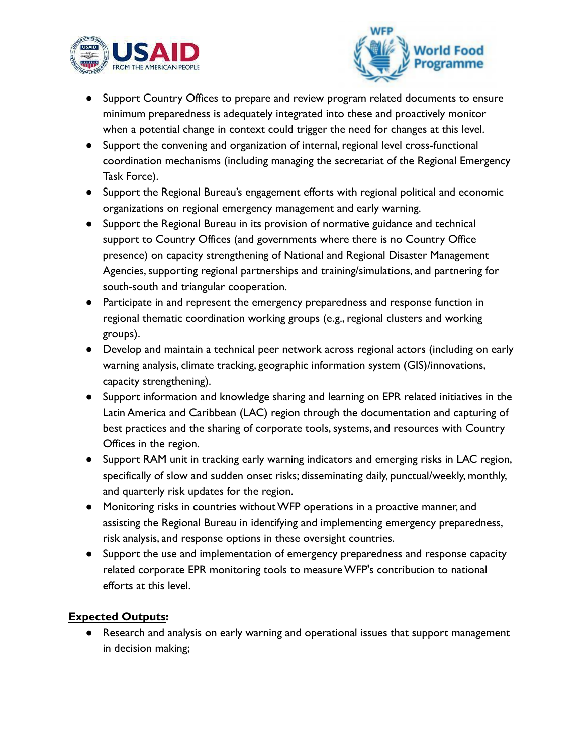



- Support Country Offices to prepare and review program related documents to ensure minimum preparedness is adequately integrated into these and proactively monitor when a potential change in context could trigger the need for changes at this level.
- Support the convening and organization of internal, regional level cross-functional coordination mechanisms (including managing the secretariat of the Regional Emergency Task Force).
- Support the Regional Bureau's engagement efforts with regional political and economic organizations on regional emergency management and early warning.
- Support the Regional Bureau in its provision of normative guidance and technical support to Country Offices (and governments where there is no Country Office presence) on capacity strengthening of National and Regional Disaster Management Agencies, supporting regional partnerships and training/simulations, and partnering for south-south and triangular cooperation.
- Participate in and represent the emergency preparedness and response function in regional thematic coordination working groups (e.g., regional clusters and working groups).
- Develop and maintain a technical peer network across regional actors (including on early warning analysis, climate tracking, geographic information system (GIS)/innovations, capacity strengthening).
- Support information and knowledge sharing and learning on EPR related initiatives in the Latin America and Caribbean (LAC) region through the documentation and capturing of best practices and the sharing of corporate tools, systems, and resources with Country Offices in the region.
- Support RAM unit in tracking early warning indicators and emerging risks in LAC region, specifically of slow and sudden onset risks; disseminating daily, punctual/weekly, monthly, and quarterly risk updates for the region.
- Monitoring risks in countries without WFP operations in a proactive manner, and assisting the Regional Bureau in identifying and implementing emergency preparedness, risk analysis, and response options in these oversight countries.
- Support the use and implementation of emergency preparedness and response capacity related corporate EPR monitoring tools to measure WFP's contribution to national efforts at this level.

## **Expected Outputs:**

● Research and analysis on early warning and operational issues that support management in decision making;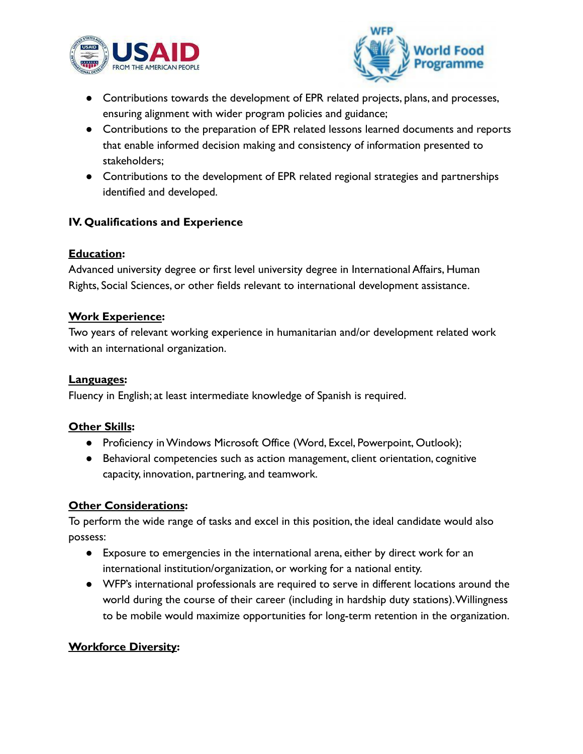



- Contributions towards the development of EPR related projects, plans, and processes, ensuring alignment with wider program policies and guidance;
- Contributions to the preparation of EPR related lessons learned documents and reports that enable informed decision making and consistency of information presented to stakeholders;
- Contributions to the development of EPR related regional strategies and partnerships identified and developed.

## **IV. Qualifications and Experience**

#### **Education:**

Advanced university degree or first level university degree in International Affairs, Human Rights, Social Sciences, or other fields relevant to international development assistance.

#### **Work Experience:**

Two years of relevant working experience in humanitarian and/or development related work with an international organization.

#### **Languages:**

Fluency in English; at least intermediate knowledge of Spanish is required.

#### **Other Skills:**

- Proficiency in Windows Microsoft Office (Word, Excel, Powerpoint, Outlook);
- Behavioral competencies such as action management, client orientation, cognitive capacity, innovation, partnering, and teamwork.

#### **Other Considerations:**

To perform the wide range of tasks and excel in this position, the ideal candidate would also possess:

- Exposure to emergencies in the international arena, either by direct work for an international institution/organization, or working for a national entity.
- WFP's international professionals are required to serve in different locations around the world during the course of their career (including in hardship duty stations).Willingness to be mobile would maximize opportunities for long-term retention in the organization.

#### **Workforce Diversity:**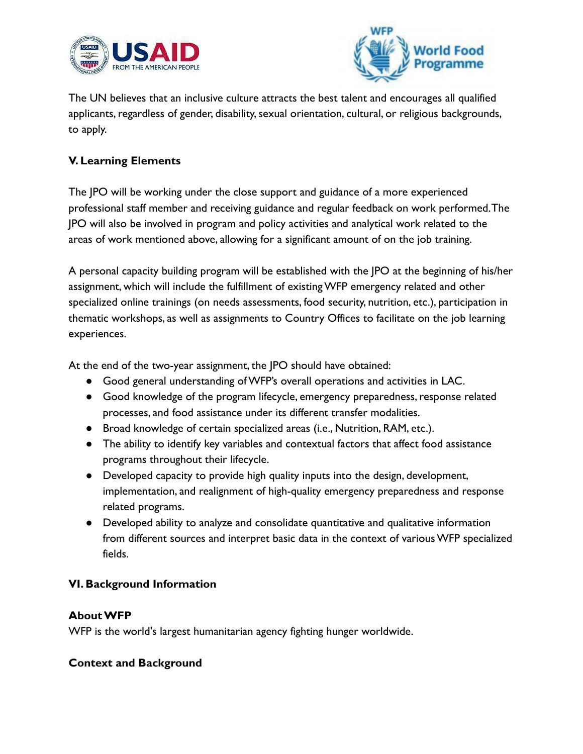



The UN believes that an inclusive culture attracts the best talent and encourages all qualified applicants, regardless of gender, disability, sexual orientation, cultural, or religious backgrounds, to apply.

## **V. Learning Elements**

The JPO will be working under the close support and guidance of a more experienced professional staff member and receiving guidance and regular feedback on work performed.The JPO will also be involved in program and policy activities and analytical work related to the areas of work mentioned above, allowing for a significant amount of on the job training.

A personal capacity building program will be established with the JPO at the beginning of his/her assignment, which will include the fulfillment of existing WFP emergency related and other specialized online trainings (on needs assessments, food security, nutrition, etc.), participation in thematic workshops, as well as assignments to Country Offices to facilitate on the job learning experiences.

At the end of the two-year assignment, the JPO should have obtained:

- Good general understanding of WFP's overall operations and activities in LAC.
- Good knowledge of the program lifecycle, emergency preparedness, response related processes, and food assistance under its different transfer modalities.
- Broad knowledge of certain specialized areas (i.e., Nutrition, RAM, etc.).
- The ability to identify key variables and contextual factors that affect food assistance programs throughout their lifecycle.
- Developed capacity to provide high quality inputs into the design, development, implementation, and realignment of high-quality emergency preparedness and response related programs.
- Developed ability to analyze and consolidate quantitative and qualitative information from different sources and interpret basic data in the context of various WFP specialized fields.

## **VI. Background Information**

#### **About WFP**

WFP is the world's largest humanitarian agency fighting hunger worldwide.

#### **Context and Background**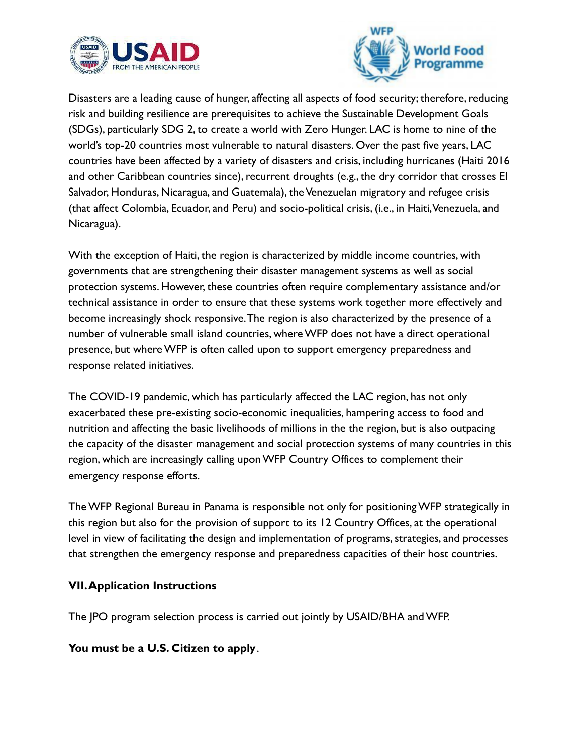



Disasters are a leading cause of hunger, affecting all aspects of food security; therefore, reducing risk and building resilience are prerequisites to achieve the Sustainable Development Goals (SDGs), particularly SDG 2, to create a world with Zero Hunger. LAC is home to nine of the world's top-20 countries most vulnerable to natural disasters. Over the past five years, LAC countries have been affected by a variety of disasters and crisis, including hurricanes (Haiti 2016 and other Caribbean countries since), recurrent droughts (e.g., the dry corridor that crosses El Salvador, Honduras, Nicaragua, and Guatemala), the Venezuelan migratory and refugee crisis (that affect Colombia, Ecuador, and Peru) and socio-political crisis, (i.e., in Haiti,Venezuela, and Nicaragua).

With the exception of Haiti, the region is characterized by middle income countries, with governments that are strengthening their disaster management systems as well as social protection systems. However, these countries often require complementary assistance and/or technical assistance in order to ensure that these systems work together more effectively and become increasingly shock responsive.The region is also characterized by the presence of a number of vulnerable small island countries, where WFP does not have a direct operational presence, but where WFP is often called upon to support emergency preparedness and response related initiatives.

The COVID-19 pandemic, which has particularly affected the LAC region, has not only exacerbated these pre-existing socio-economic inequalities, hampering access to food and nutrition and affecting the basic livelihoods of millions in the the region, but is also outpacing the capacity of the disaster management and social protection systems of many countries in this region, which are increasingly calling upon WFP Country Offices to complement their emergency response efforts.

The WFP Regional Bureau in Panama is responsible not only for positioning WFP strategically in this region but also for the provision of support to its 12 Country Offices, at the operational level in view of facilitating the design and implementation of programs, strategies, and processes that strengthen the emergency response and preparedness capacities of their host countries.

## **VII.Application Instructions**

The JPO program selection process is carried out jointly by USAID/BHA and WFP.

**You must be a U.S. Citizen to apply**.